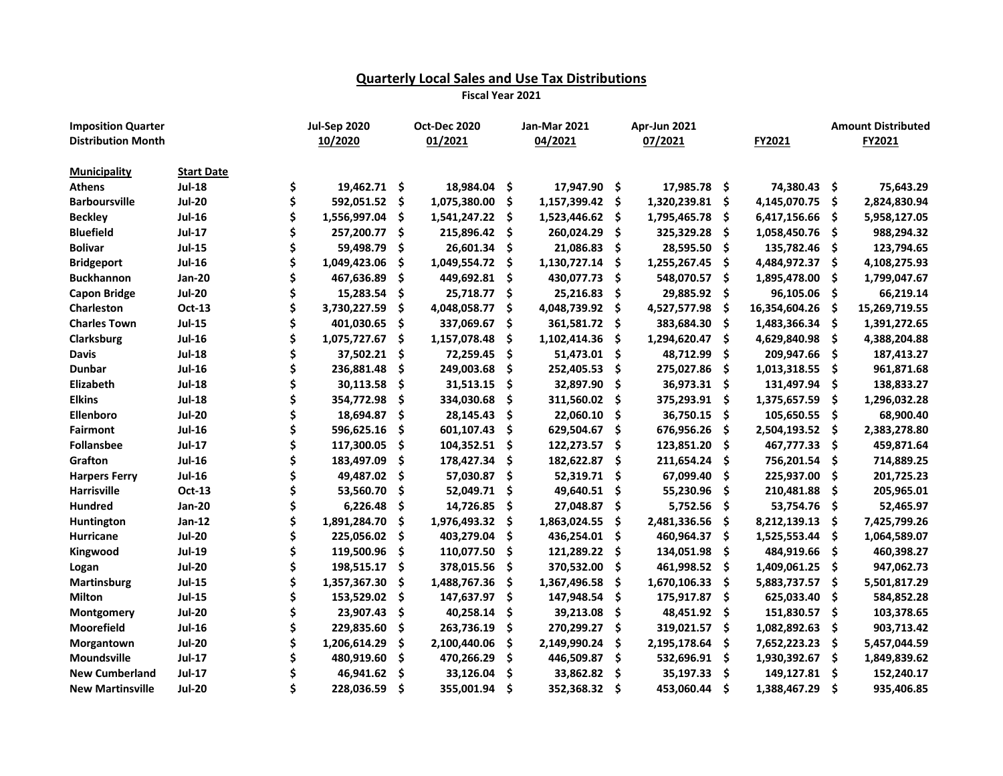## **Quarterly Local Sales and Use Tax Distributions**

**Fiscal Year 2021**

| <b>Imposition Quarter</b> |                   |    | <b>Jul-Sep 2020</b> |     | <b>Oct-Dec 2020</b> |      | <b>Jan-Mar 2021</b> |      | Apr-Jun 2021 |     |               |      | <b>Amount Distributed</b> |
|---------------------------|-------------------|----|---------------------|-----|---------------------|------|---------------------|------|--------------|-----|---------------|------|---------------------------|
| <b>Distribution Month</b> |                   |    | 10/2020             |     | 01/2021             |      | 04/2021             |      | 07/2021      |     | FY2021        |      | FY2021                    |
|                           |                   |    |                     |     |                     |      |                     |      |              |     |               |      |                           |
| <b>Municipality</b>       | <b>Start Date</b> |    |                     |     |                     |      |                     |      |              |     |               |      |                           |
| <b>Athens</b>             | <b>Jul-18</b>     | \$ | 19,462.71 \$        |     | 18,984.04           | Ŝ.   | 17,947.90 \$        |      | 17,985.78 \$ |     | 74,380.43 \$  |      | 75,643.29                 |
| <b>Barboursville</b>      | <b>Jul-20</b>     | \$ | 592,051.52          | \$  | 1,075,380.00        | \$.  | 1,157,399.42        | -\$  | 1,320,239.81 | \$  | 4,145,070.75  | -\$  | 2,824,830.94              |
| <b>Beckley</b>            | <b>Jul-16</b>     |    | 1,556,997.04        | \$  | 1,541,247.22        | -\$  | 1,523,446.62        | -\$  | 1,795,465.78 | \$. | 6,417,156.66  | -S   | 5,958,127.05              |
| <b>Bluefield</b>          | <b>Jul-17</b>     |    | 257,200.77          | \$  | 215,896.42          | - \$ | 260,024.29          | - \$ | 325,329.28   | \$  | 1,058,450.76  | - \$ | 988,294.32                |
| <b>Bolivar</b>            | <b>Jul-15</b>     | Ś  | 59,498.79           | \$  | 26,601.34           | -S   | 21,086.83           | - \$ | 28,595.50    | \$. | 135,782.46 \$ |      | 123,794.65                |
| <b>Bridgeport</b>         | <b>Jul-16</b>     |    | 1,049,423.06        | Ś   | 1,049,554.72        | Ŝ    | 1,130,727.14        | - Ś  | 1,255,267.45 | \$  | 4,484,972.37  | -S   | 4,108,275.93              |
| <b>Buckhannon</b>         | <b>Jan-20</b>     |    | 467,636.89          | \$  | 449,692.81          | -S   | 430,077.73          | - \$ | 548,070.57   | \$  | 1,895,478.00  | \$.  | 1,799,047.67              |
| <b>Capon Bridge</b>       | <b>Jul-20</b>     |    | 15,283.54           | \$  | 25,718.77           | -S   | 25,216.83           | - \$ | 29,885.92    | \$  | 96,105.06     | - \$ | 66,219.14                 |
| Charleston                | <b>Oct-13</b>     |    | 3,730,227.59        | \$  | 4,048,058.77        | \$   | 4,048,739.92        | -\$  | 4,527,577.98 | \$  | 16,354,604.26 | \$   | 15,269,719.55             |
| <b>Charles Town</b>       | <b>Jul-15</b>     | Ś  | 401,030.65          | \$. | 337,069.67          | \$.  | 361,581.72          | - \$ | 383,684.30   | \$. | 1,483,366.34  | -S   | 1,391,272.65              |
| <b>Clarksburg</b>         | <b>Jul-16</b>     |    | 1,075,727.67        | \$  | 1,157,078.48        | \$   | 1,102,414.36        | -Ś   | 1,294,620.47 | \$  | 4,629,840.98  | Ŝ    | 4,388,204.88              |
| <b>Davis</b>              | <b>Jul-18</b>     | Ś  | 37,502.21           | \$. | 72,259.45           | .\$  | 51,473.01           | - \$ | 48,712.99    | \$. | 209,947.66    | S    | 187,413.27                |
| <b>Dunbar</b>             | <b>Jul-16</b>     | \$ | 236,881.48          | \$  | 249,003.68          | .\$  | 252,405.53          | - \$ | 275,027.86   | \$. | 1,013,318.55  | S    | 961,871.68                |
| Elizabeth                 | <b>Jul-18</b>     | \$ | 30,113.58           | \$  | 31,513.15           | \$   | 32,897.90           | - \$ | 36,973.31 \$ |     | 131,497.94    | \$.  | 138,833.27                |
| <b>Elkins</b>             | <b>Jul-18</b>     |    | 354,772.98          | \$  | 334,030.68          | S    | 311,560.02          | - \$ | 375,293.91   | \$. | 1,375,657.59  | S    | 1,296,032.28              |
| Ellenboro                 | <b>Jul-20</b>     |    | 18,694.87           | \$  | 28,145.43           | S    | 22,060.10           | - Ś  | 36,750.15    | \$. | 105,650.55    | \$.  | 68,900.40                 |
| <b>Fairmont</b>           | <b>Jul-16</b>     |    | 596,625.16          | Ś   | 601,107.43          | \$   | 629,504.67          | -\$  | 676,956.26   | \$. | 2,504,193.52  | S    | 2,383,278.80              |
| <b>Follansbee</b>         | <b>Jul-17</b>     |    | 117,300.05          | Ś   | 104,352.51          | S    | 122,273.57          | - \$ | 123,851.20   | Ŝ   | 467,777.33    | S    | 459,871.64                |
| Grafton                   | $Jul-16$          |    | 183,497.09          | Ś   | 178,427.34          | \$   | 182,622.87          | -\$  | 211,654.24   | \$  | 756,201.54    | \$   | 714,889.25                |
| <b>Harpers Ferry</b>      | <b>Jul-16</b>     |    | 49,487.02           | \$  | 57,030.87           | S    | 52,319.71           | - \$ | 67,099.40    | \$  | 225,937.00    | \$.  | 201,725.23                |
| <b>Harrisville</b>        | <b>Oct-13</b>     |    | 53,560.70           | \$  | 52,049.71           | S    | 49,640.51           | - \$ | 55,230.96    | \$  | 210,481.88    | \$   | 205,965.01                |
| <b>Hundred</b>            | <b>Jan-20</b>     |    | 6,226.48            | \$  | 14,726.85           | \$.  | 27,048.87           | -\$  | 5,752.56     | \$  | 53,754.76     | .S   | 52,465.97                 |
| Huntington                | Jan-12            |    | 1,891,284.70        | Ś   | 1,976,493.32        | S    | 1,863,024.55        | \$.  | 2,481,336.56 | \$  | 8,212,139.13  | S    | 7,425,799.26              |
| Hurricane                 | <b>Jul-20</b>     | Ś  | 225,056.02          | Ś   | 403,279.04          | \$   | 436,254.01          | - \$ | 460,964.37   | Ś   | 1,525,553.44  | S    | 1,064,589.07              |
| Kingwood                  | <b>Jul-19</b>     |    | 119,500.96          | \$  | 110,077.50          | S    | 121,289.22          | -\$  | 134,051.98   | \$  | 484,919.66    | S    | 460,398.27                |
| Logan                     | <b>Jul-20</b>     |    | 198,515.17          | \$  | 378,015.56          | S    | 370,532.00          | \$   | 461,998.52   | \$  | 1,409,061.25  | \$   | 947,062.73                |
| <b>Martinsburg</b>        | <b>Jul-15</b>     |    | 1,357,367.30        |     | 1,488,767.36        | \$   | 1,367,496.58        | \$   | 1,670,106.33 | \$  | 5,883,737.57  | \$   | 5,501,817.29              |
| Milton                    | <b>Jul-15</b>     | Ś  | 153,529.02          | Ś   | 147,637.97          | \$.  | 147,948.54          | \$.  | 175,917.87   | \$  | 625,033.40    | \$   | 584,852.28                |
| Montgomery                | <b>Jul-20</b>     | Ś  | 23,907.43           | \$  | 40,258.14           | \$   | 39,213.08           | .\$  | 48,451.92    | \$  | 151,830.57    | \$   | 103,378.65                |
| Moorefield                | <b>Jul-16</b>     | Ś  | 229,835.60          | \$  | 263,736.19          | \$.  | 270,299.27          | \$   | 319,021.57   | \$  | 1,082,892.63  | \$   | 903,713.42                |
| Morgantown                | <b>Jul-20</b>     |    | 1,206,614.29        | Ś   | 2,100,440.06        | \$   | 2,149,990.24        | \$   | 2,195,178.64 | \$  | 7,652,223.23  | \$   | 5,457,044.59              |
| Moundsville               | <b>Jul-17</b>     |    | 480,919.60          | Ś   | 470,266.29          | Ś    | 446,509.87          | \$   | 532,696.91   | \$  | 1,930,392.67  | \$   | 1,849,839.62              |
| <b>New Cumberland</b>     | <b>Jul-17</b>     |    | 46,941.62           | Ś   | 33,126.04           | \$   | 33,862.82           | - \$ | 35,197.33    | \$  | 149,127.81    | \$.  | 152,240.17                |
| <b>New Martinsville</b>   | <b>Jul-20</b>     | Ś  | 228,036.59          | Ś   | 355,001.94          | Ś    | 352,368.32          | - \$ | 453,060.44   | Ś   | 1,388,467.29  | Ŝ    | 935,406.85                |